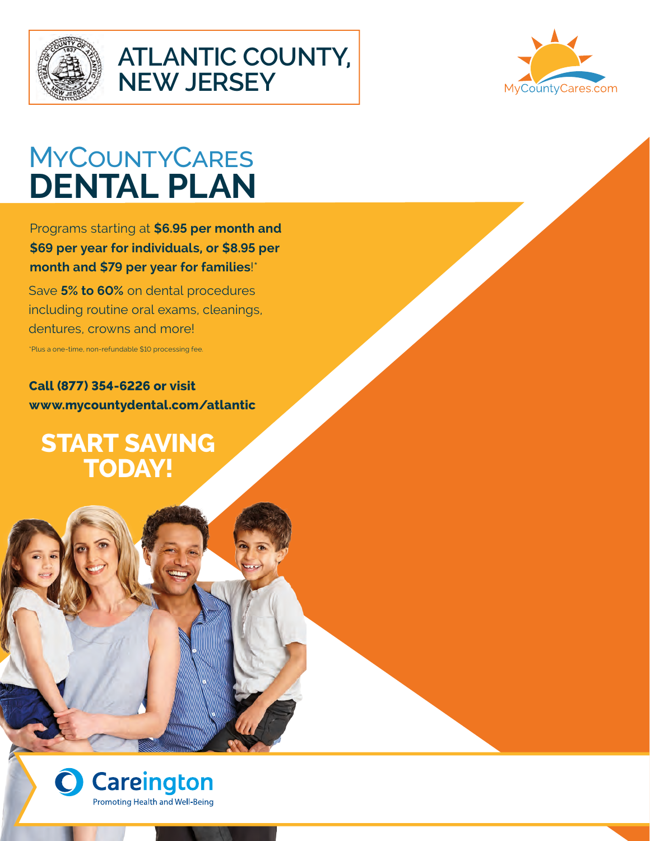

## **ATLANTIC COUNTY, NEW JERSEY**



# MyCountyCares **DENTAL PLAN**

Programs starting at **\$6.95 per month and \$69 per year for individuals, or \$8.95 per month and \$79 per year for families**!\*

Save **5% to 60%** on dental procedures including routine oral exams, cleanings, dentures, crowns and more! \*Plus a one-time, non-refundable \$10 processing fee.

**Call (877) 354-6226 or visit www.mycountydental.com/atlantic**

**START SAVING TODAY!**